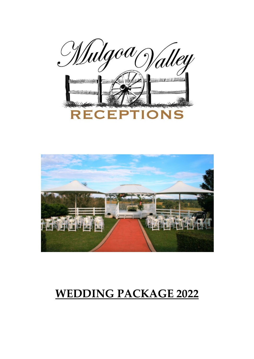<u>Wulg</u>od alley **RECEPTIONS** 



### WEDDING PACKAGE 2022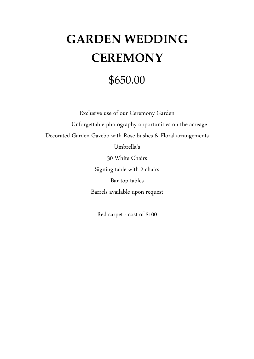# GARDEN WEDDING **CEREMONY**

### \$650.00

Exclusive use of our Ceremony Garden Unforgettable photography opportunities on the acreage Decorated Garden Gazebo with Rose bushes & Floral arrangements

Umbrella's

30 White Chairs

Signing table with 2 chairs Bar top tables Barrels available upon request

Red carpet - cost of \$100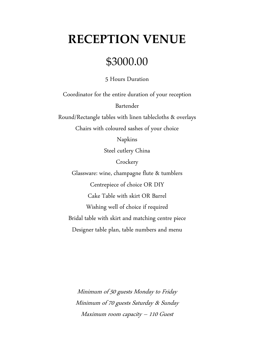### RECEPTION VENUE

### \$3000.00

5 Hours Duration

Coordinator for the entire duration of your reception Bartender Round/Rectangle tables with linen tablecloths & overlays

Chairs with coloured sashes of your choice

Napkins

Steel cutlery China

**Crockery** 

Glassware: wine, champagne flute & tumblers Centrepiece of choice OR DIY Cake Table with skirt OR Barrel Wishing well of choice if required Bridal table with skirt and matching centre piece Designer table plan, table numbers and menu

Minimum of 50 guests Monday to Friday Minimum of 70 guests Saturday & Sunday Maximum room capacity – 110 Guest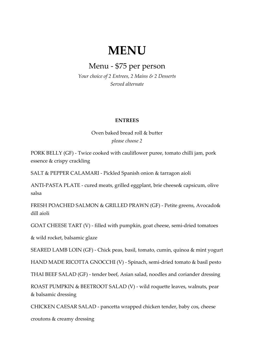### MENU

#### Menu - \$75 per person

Your choice of 2 Entrees, 2 Mains & 2 Desserts Served alternate

#### ENTREES

Oven baked bread roll & butter please choose 2

PORK BELLY (GF) - Twice cooked with cauliflower puree, tomato chilli jam, pork essence & crispy crackling

SALT & PEPPER CALAMARI - Pickled Spanish onion & tarragon aioli

ANTI-PASTA PLATE - cured meats, grilled eggplant, brie cheese& capsicum, olive salsa

FRESH POACHED SALMON & GRILLED PRAWN (GF) - Petite greens, Avocado& dill aioli

GOAT CHEESE TART (V) - filled with pumpkin, goat cheese, semi-dried tomatoes

& wild rocket, balsamic glaze

SEARED LAMB LOIN (GF) - Chick peas, basil, tomato, cumin, quinoa & mint yogurt

HAND MADE RICOTTA GNOCCHI (V) - Spinach, semi-dried tomato & basil pesto

THAI BEEF SALAD (GF) - tender beef, Asian salad, noodles and coriander dressing

ROAST PUMPKIN & BEETROOT SALAD (V) - wild roquette leaves, walnuts, pear & balsamic dressing

CHICKEN CAESAR SALAD - pancetta wrapped chicken tender, baby cos, cheese

croutons & creamy dressing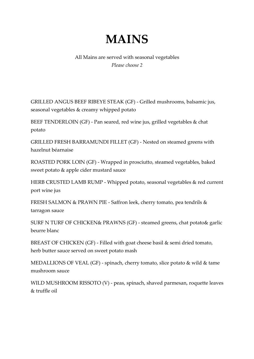# MAINS

#### All Mains are served with seasonal vegetables Please choose 2

GRILLED ANGUS BEEF RIBEYE STEAK (GF) - Grilled mushrooms, balsamic jus, seasonal vegetables & creamy whipped potato

BEEF TENDERLOIN (GF) - Pan seared, red wine jus, grilled vegetables & chat potato

GRILLED FRESH BARRAMUNDI FILLET (GF) - Nested on steamed greens with hazelnut béarnaise

ROASTED PORK LOIN (GF) - Wrapped in prosciutto, steamed vegetables, baked sweet potato & apple cider mustard sauce

HERB CRUSTED LAMB RUMP - Whipped potato, seasonal vegetables & red current port wine jus

FRESH SALMON & PRAWN PIE - Saffron leek, cherry tomato, pea tendrils & tarragon sauce

SURF N TURF OF CHICKEN& PRAWNS (GF) - steamed greens, chat potato& garlic beurre blanc

BREAST OF CHICKEN (GF) - Filled with goat cheese basil & semi dried tomato, herb butter sauce served on sweet potato mash

MEDALLIONS OF VEAL (GF) - spinach, cherry tomato, slice potato & wild & tame mushroom sauce

WILD MUSHROOM RISSOTO (V) - peas, spinach, shaved parmesan, roquette leaves & truffle oil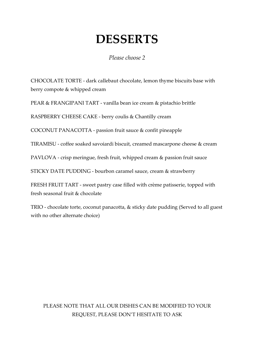### DESSERTS

Please choose 2

CHOCOLATE TORTE - dark callebaut chocolate, lemon thyme biscuits base with berry compote & whipped cream

PEAR & FRANGIPANI TART - vanilla bean ice cream & pistachio brittle

RASPBERRY CHEESE CAKE - berry coulis & Chantilly cream

COCONUT PANACOTTA - passion fruit sauce & confit pineapple

TIRAMISU - coffee soaked savoiardi biscuit, creamed mascarpone cheese & cream

PAVLOVA - crisp meringue, fresh fruit, whipped cream & passion fruit sauce

STICKY DATE PUDDING - bourbon caramel sauce, cream & strawberry

FRESH FRUIT TART - sweet pastry case filled with crème patisserie, topped with fresh seasonal fruit & chocolate

TRIO - chocolate torte, coconut panacotta, & sticky date pudding (Served to all guest with no other alternate choice)

#### PLEASE NOTE THAT ALL OUR DISHES CAN BE MODIFIED TO YOUR REQUEST, PLEASE DON'T HESITATE TO ASK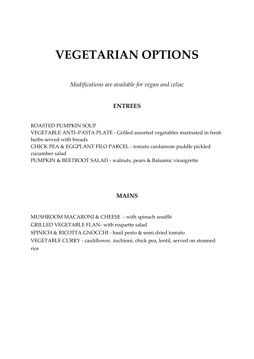# VEGETARIAN OPTIONS

Modifications are available for vegan and celiac

#### ENTREES

ROASTED PUMPKIN SOUP VEGETABLE ANTI–PASTA PLATE - Grilled assorted vegetables marinated in fresh herbs served with breads CHICK PEA & EGGPLANT FILO PARCEL - tomato cardamom puddle pickled cucumber salad PUMPKIN & BEETROOT SALAD - walnuts, pears & Balsamic vinaigrette

#### MAINS

MUSHROOM MACARONI & CHEESE - with spinach soufflé GRILLED VEGETABLE FLAN- with roquette salad SPINICH & RICOTTA GNOCCHI - basil pesto & semi dried tomato VEGETABLE CURRY - cauliflower, zuchinni, chick pea, lentil, served on steamed rice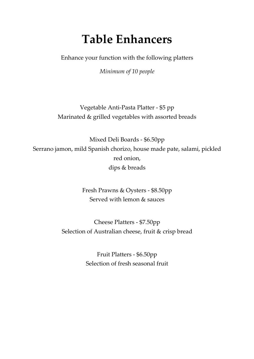# Table Enhancers

Enhance your function with the following platters

Minimum of 10 people

Vegetable Anti-Pasta Platter - \$5 pp Marinated & grilled vegetables with assorted breads

Mixed Deli Boards - \$6.50pp Serrano jamon, mild Spanish chorizo, house made pate, salami, pickled red onion, dips & breads

> Fresh Prawns & Oysters - \$8.50pp Served with lemon & sauces

Cheese Platters - \$7.50pp Selection of Australian cheese, fruit & crisp bread

> Fruit Platters - \$6.50pp Selection of fresh seasonal fruit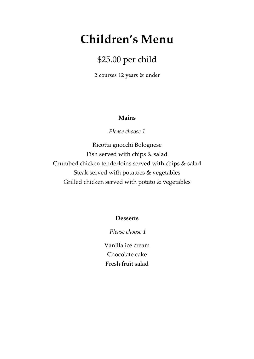### Children's Menu

### \$25.00 per child

2 courses 12 years & under

#### Mains

Please choose 1

Ricotta gnocchi Bolognese Fish served with chips & salad Crumbed chicken tenderloins served with chips & salad Steak served with potatoes & vegetables Grilled chicken served with potato & vegetables

#### **Desserts**

Please choose 1

Vanilla ice cream Chocolate cake Fresh fruit salad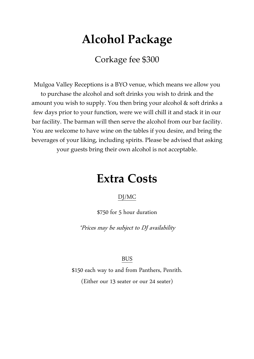# Alcohol Package

Corkage fee \$300

Mulgoa Valley Receptions is a BYO venue, which means we allow you to purchase the alcohol and soft drinks you wish to drink and the amount you wish to supply. You then bring your alcohol & soft drinks a few days prior to your function, were we will chill it and stack it in our bar facility. The barman will then serve the alcohol from our bar facility. You are welcome to have wine on the tables if you desire, and bring the beverages of your liking, including spirits. Please be advised that asking your guests bring their own alcohol is not acceptable.

### Extra Costs

#### DJ/MC

\$750 for 5 hour duration

\*Prices may be subject to DJ availability

#### BUS

\$150 each way to and from Panthers, Penrith. (Either our 13 seater or our 24 seater)